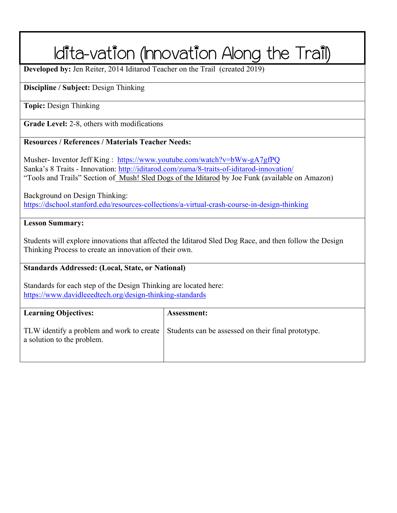# Idita-vation (Innovation Along the Trail)

**Developed by:** Jen Reiter, 2014 Iditarod Teacher on the Trail (created 2019)

#### **Discipline / Subject:** Design Thinking

**Topic:** Design Thinking

**Grade Level:** 2-8, others with modifications

#### **Resources / References / Materials Teacher Needs:**

Musher- Inventor Jeff King : https://www.youtube.com/watch?v=bWw-gA7gfPQ Sanka's 8 Traits - Innovation: http://iditarod.com/zuma/8-traits-of-iditarod-innovation/ "Tools and Trails" Section of Mush! Sled Dogs of the Iditarod by Joe Funk (available on Amazon)

Background on Design Thinking: https://dschool.stanford.edu/resources-collections/a-virtual-crash-course-in-design-thinking

#### **Lesson Summary:**

Students will explore innovations that affected the Iditarod Sled Dog Race, and then follow the Design Thinking Process to create an innovation of their own.

#### **Standards Addressed: (Local, State, or National)**

Standards for each step of the Design Thinking are located here: https://www.davidleeedtech.org/design-thinking-standards

| <b>Learning Objectives:</b> | Assessment:                                                                                    |
|-----------------------------|------------------------------------------------------------------------------------------------|
| a solution to the problem.  | TLW identify a problem and work to create   Students can be assessed on their final prototype. |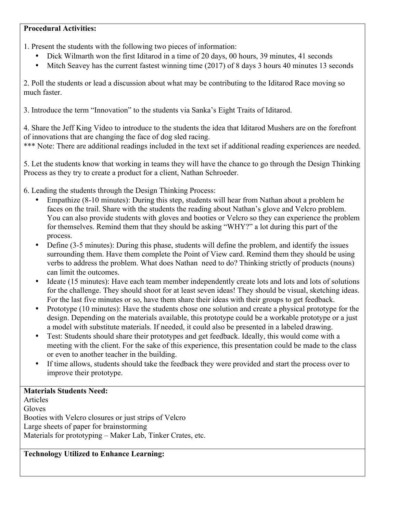#### **Procedural Activities:**

1. Present the students with the following two pieces of information:

- Dick Wilmarth won the first Iditarod in a time of 20 days, 00 hours, 39 minutes, 41 seconds
- Mitch Seavey has the current fastest winning time (2017) of 8 days 3 hours 40 minutes 13 seconds

2. Poll the students or lead a discussion about what may be contributing to the Iditarod Race moving so much faster.

3. Introduce the term "Innovation" to the students via Sanka's Eight Traits of Iditarod.

4. Share the Jeff King Video to introduce to the students the idea that Iditarod Mushers are on the forefront of innovations that are changing the face of dog sled racing.

\*\*\* Note: There are additional readings included in the text set if additional reading experiences are needed.

5. Let the students know that working in teams they will have the chance to go through the Design Thinking Process as they try to create a product for a client, Nathan Schroeder.

- 6. Leading the students through the Design Thinking Process:
	- Empathize (8-10 minutes): During this step, students will hear from Nathan about a problem he faces on the trail. Share with the students the reading about Nathan's glove and Velcro problem. You can also provide students with gloves and booties or Velcro so they can experience the problem for themselves. Remind them that they should be asking "WHY?" a lot during this part of the process.
	- Define (3-5 minutes): During this phase, students will define the problem, and identify the issues surrounding them. Have them complete the Point of View card. Remind them they should be using verbs to address the problem. What does Nathan need to do? Thinking strictly of products (nouns) can limit the outcomes.
	- Ideate (15 minutes): Have each team member independently create lots and lots and lots of solutions for the challenge. They should shoot for at least seven ideas! They should be visual, sketching ideas. For the last five minutes or so, have them share their ideas with their groups to get feedback.
	- Prototype (10 minutes): Have the students chose one solution and create a physical prototype for the design. Depending on the materials available, this prototype could be a workable prototype or a just a model with substitute materials. If needed, it could also be presented in a labeled drawing.
	- Test: Students should share their prototypes and get feedback. Ideally, this would come with a meeting with the client. For the sake of this experience, this presentation could be made to the class or even to another teacher in the building.
	- If time allows, students should take the feedback they were provided and start the process over to improve their prototype.

#### **Materials Students Need:**

Articles **Gloves** Booties with Velcro closures or just strips of Velcro Large sheets of paper for brainstorming Materials for prototyping – Maker Lab, Tinker Crates, etc.

#### **Technology Utilized to Enhance Learning:**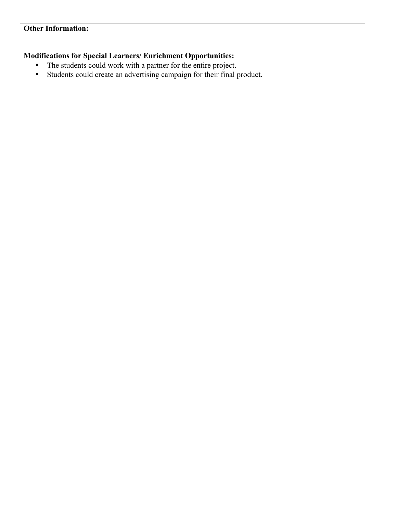#### **Other Information:**

### **Modifications for Special Learners/ Enrichment Opportunities:**

- The students could work with a partner for the entire project.
- Students could create an advertising campaign for their final product.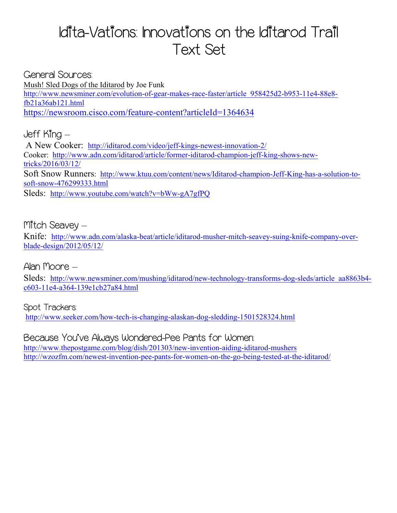### Idita-Vations: Innovations on the Iditarod Trail Text Set

General Sources: Mush! Sled Dogs of the Iditarod by Joe Funk http://www.newsminer.com/evolution-of-gear-makes-race-faster/article\_958425d2-b953-11e4-88e8 fb21a36ab121.html https://newsroom.cisco.com/feature-content?articleId=1364634

Jeff King – A New Cooker: http://iditarod.com/video/jeff-kings-newest-innovation-2/ Cooker: http://www.adn.com/iditarod/article/former-iditarod-champion-jeff-king-shows-newtricks/2016/03/12/ Soft Snow Runners: http://www.ktuu.com/content/news/Iditarod-champion-Jeff-King-has-a-solution-tosoft-snow-476299333.html Sleds: http://www.youtube.com/watch?v=bWw-gA7gfPQ

Mitch Seavev –

Knife: http://www.adn.com/alaska-beat/article/iditarod-musher-mitch-seavey-suing-knife-company-overblade-design/2012/05/12/

Alan Moore –

Sleds: http://www.newsminer.com/mushing/iditarod/new-technology-transforms-dog-sleds/article\_aa8863b4c603-11e4-a364-139e1cb27a84.html

Spot Trackers: http://www.seeker.com/how-tech-is-changing-alaskan-dog-sledding-1501528324.html

Because You've Always Wondered-Pee Pants for Women: http://www.thepostgame.com/blog/dish/201303/new-invention-aiding-iditarod-mushers http://wzozfm.com/newest-invention-pee-pants-for-women-on-the-go-being-tested-at-the-iditarod/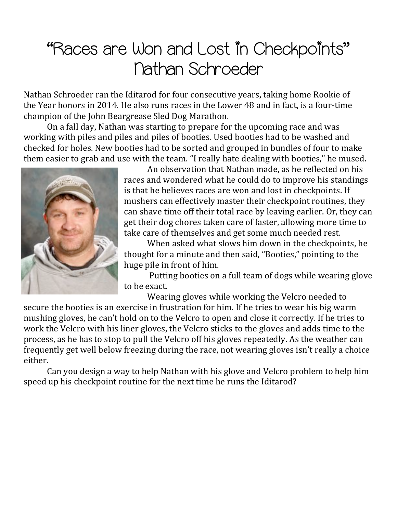## "Races are Won and Lost in Checkpoints" Nathan Schroeder

Nathan Schroeder ran the Iditarod for four consecutive vears, taking home Rookie of the Year honors in 2014. He also runs races in the Lower 48 and in fact, is a four-time champion of the John Beargrease Sled Dog Marathon.

On a fall day, Nathan was starting to prepare for the upcoming race and was working with piles and piles and piles of booties. Used booties had to be washed and checked for holes. New booties had to be sorted and grouped in bundles of four to make them easier to grab and use with the team. "I really hate dealing with booties," he mused.



An observation that Nathan made, as he reflected on his races and wondered what he could do to improve his standings is that he believes races are won and lost in checkpoints. If mushers can effectively master their checkpoint routines, they can shave time off their total race by leaving earlier. Or, they can get their dog chores taken care of faster, allowing more time to take care of themselves and get some much needed rest.

When asked what slows him down in the checkpoints, he thought for a minute and then said, "Booties," pointing to the huge pile in front of him.

Putting booties on a full team of dogs while wearing glove to be exact.

Wearing gloves while working the Velcro needed to

secure the booties is an exercise in frustration for him. If he tries to wear his big warm mushing gloves, he can't hold on to the Velcro to open and close it correctly. If he tries to work the Velcro with his liner gloves, the Velcro sticks to the gloves and adds time to the process, as he has to stop to pull the Velcro off his gloves repeatedly. As the weather can frequently get well below freezing during the race, not wearing gloves isn't really a choice either.

Can you design a way to help Nathan with his glove and Velcro problem to help him speed up his checkpoint routine for the next time he runs the Iditarod?